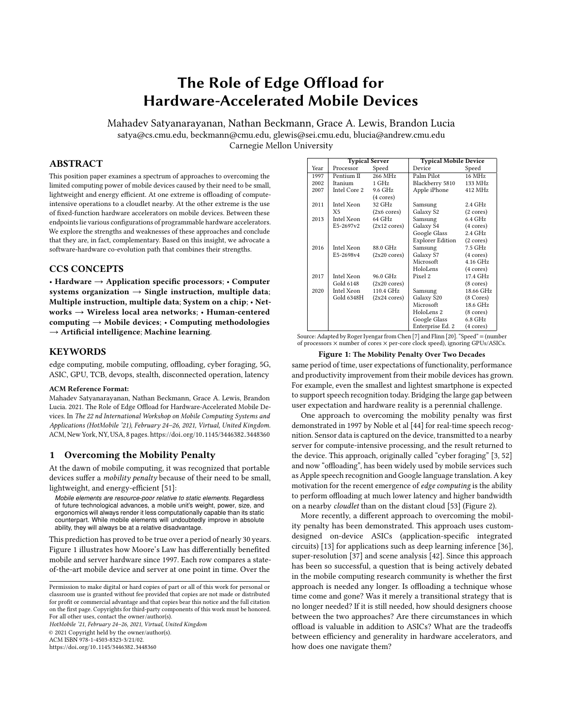# The Role of Edge Offload for Hardware-Accelerated Mobile Devices

Mahadev Satyanarayanan, Nathan Beckmann, Grace A. Lewis, Brandon Lucia satya@cs.cmu.edu, beckmann@cmu.edu, glewis@sei.cmu.edu, blucia@andrew.cmu.edu Carnegie Mellon University

# ABSTRACT

This position paper examines a spectrum of approaches to overcoming the limited computing power of mobile devices caused by their need to be small, lightweight and energy efficient. At one extreme is offloading of computeintensive operations to a cloudlet nearby. At the other extreme is the use of fixed-function hardware accelerators on mobile devices. Between these endpoints lie various configurations of programmable hardware accelerators. We explore the strengths and weaknesses of these approaches and conclude that they are, in fact, complementary. Based on this insight, we advocate a software-hardware co-evolution path that combines their strengths.

#### CCS CONCEPTS

• Hardware → Application specific processors; • Computer systems organization  $\rightarrow$  Single instruction, multiple data; Multiple instruction, multiple data; System on a chip; • Networks → Wireless local area networks; • Human-centered computing  $\rightarrow$  Mobile devices;  $\cdot$  Computing methodologies  $\rightarrow$  Artificial intelligence; Machine learning.

#### **KEYWORDS**

edge computing, mobile computing, offloading, cyber foraging, 5G, ASIC, GPU, TCB, devops, stealth, disconnected operation, latency

#### ACM Reference Format:

Mahadev Satyanarayanan, Nathan Beckmann, Grace A. Lewis, Brandon Lucia. 2021. The Role of Edge Offload for Hardware-Accelerated Mobile Devices. In The 22 nd International Workshop on Mobile Computing Systems and Applications (HotMobile '21), February 24–26, 2021, Virtual, United Kingdom. ACM, New York, NY, USA, [8](#page-7-0) pages. https://doi.org/10.[1145/3446382](https://doi.org/10.1145/3446382.3448360).<sup>3448360</sup>

#### 1 Overcoming the Mobility Penalty

At the dawn of mobile computing, it was recognized that portable devices suffer a mobility penalty because of their need to be small, lightweight, and energy-efficient [\[51\]](#page-7-1):

*Mobile elements are resource-poor relative to static elements.* Regardless of future technological advances, a mobile unit's weight, power, size, and ergonomics will always render it less computationally capable than its static counterpart. While mobile elements will undoubtedly improve in absolute ability, they will always be at a relative disadvantage.

This prediction has proved to be true over a period of nearly 30 years. Figure [1](#page-0-0) illustrates how Moore's Law has differentially benefited mobile and server hardware since 1997. Each row compares a stateof-the-art mobile device and server at one point in time. Over the

HotMobile '21, February 24–26, 2021, Virtual, United Kingdom © 2021 Copyright held by the owner/author(s).

ACM ISBN 978-1-4503-8323-3/21/02.

https://doi.org/10.[1145/3446382](https://doi.org/10.1145/3446382.3448360).<sup>3448360</sup>

<span id="page-0-0"></span>

|      | <b>Typical Server</b> |                        | <b>Typical Mobile Device</b> |                     |
|------|-----------------------|------------------------|------------------------------|---------------------|
| Year | Processor             | Speed                  | Device                       | Speed               |
| 1997 | Pentium II            | 266 MHz                | Palm Pilot                   | 16 MHz              |
| 2002 | Itanium               | 1 GHz                  | Blackberry 5810              | 133 MHz             |
| 2007 | Intel Core 2          | 9.6 GHz                | Apple iPhone                 | 412 MHz             |
|      |                       | $(4 \text{ cores})$    |                              |                     |
| 2011 | Intel Xeon            | 32 GHz                 | Samsung                      | 2.4 GHz             |
|      | X5                    | $(2x6 \text{ cores})$  | Galaxy S2                    | $(2 \text{ cores})$ |
| 2013 | Intel Xeon            | 64 GHz                 | Samsung                      | $6.4\text{ GHz}$    |
|      | E5-2697v2             | $(2x12 \text{ cores})$ | Galaxy S4                    | $(4 \text{ cores})$ |
|      |                       |                        | Google Glass                 | 2.4 GHz             |
|      |                       |                        | <b>Explorer Edition</b>      | $(2 \text{ cores})$ |
| 2016 | Intel Xeon            | 88.0 GHz               | Samsung                      | 7.5 GHz             |
|      | E5-2698v4             | $(2x20 \text{ cores})$ | Galaxy S7                    | $(4 \text{ cores})$ |
|      |                       |                        | Microsoft                    | 4.16 GHz            |
|      |                       |                        | HoloLens                     | $(4 \text{ cores})$ |
| 2017 | Intel Xeon            | 96.0 GHz               | Pixel 2                      | 17.4 GHz            |
|      | Gold 6148             | $(2x20 \text{ cores})$ |                              | $(8 \text{ cores})$ |
| 2020 | Intel Xeon            | 110.4 GHz              | Samsung                      | 18.66 GHz           |
|      | Gold 6348H            | $(2x24 \text{ cores})$ | Galaxy S20                   | (8 Cores)           |
|      |                       |                        | Microsoft                    | 18.6 GHz            |
|      |                       |                        | HoloLens 2                   | $(8 \text{ cores})$ |
|      |                       |                        | Google Glass                 | 6.8 GHz             |
|      |                       |                        | Enternrise Ed. 2             | $(4 \text{ cores})$ |

Source: Adapted by Roger Iyengar from Chen [\[7\]](#page-6-0) and Flinn [\[20\]](#page-6-1). "Speed" = (number of processors  $\times$  number of cores  $\times$  per-core clock speed), ignoring GPUs/ASICs.

#### Figure 1: The Mobility Penalty Over Two Decades

same period of time, user expectations of functionality, performance and productivity improvement from their mobile devices has grown. For example, even the smallest and lightest smartphone is expected to support speech recognition today. Bridging the large gap between user expectation and hardware reality is a perennial challenge.

One approach to overcoming the mobility penalty was first demonstrated in 1997 by Noble et al [\[44\]](#page-6-2) for real-time speech recognition. Sensor data is captured on the device, transmitted to a nearby server for compute-intensive processing, and the result returned to the device. This approach, originally called "cyber foraging" [\[3,](#page-6-3) [52\]](#page-7-2) and now "offloading", has been widely used by mobile services such as Apple speech recognition and Google language translation. A key motivation for the recent emergence of edge computing is the ability to perform offloading at much lower latency and higher bandwidth on a nearby cloudlet than on the distant cloud [\[53\]](#page-7-3) (Figure [2\)](#page-1-0).

More recently, a different approach to overcoming the mobility penalty has been demonstrated. This approach uses customdesigned on-device ASICs (application-specific integrated circuits) [\[13\]](#page-6-4) for applications such as deep learning inference [\[36\]](#page-6-5), super-resolution [\[37\]](#page-6-6) and scene analysis [\[42\]](#page-6-7). Since this approach has been so successful, a question that is being actively debated in the mobile computing research community is whether the first approach is needed any longer. Is offloading a technique whose time come and gone? Was it merely a transitional strategy that is no longer needed? If it is still needed, how should designers choose between the two approaches? Are there circumstances in which offload is valuable in addition to ASICs? What are the tradeoffs between efficiency and generality in hardware accelerators, and how does one navigate them?

Permission to make digital or hard copies of part or all of this work for personal or classroom use is granted without fee provided that copies are not made or distributed for profit or commercial advantage and that copies bear this notice and the full citation on the first page. Copyrights for third-party components of this work must be honored. For all other uses, contact the owner/author(s).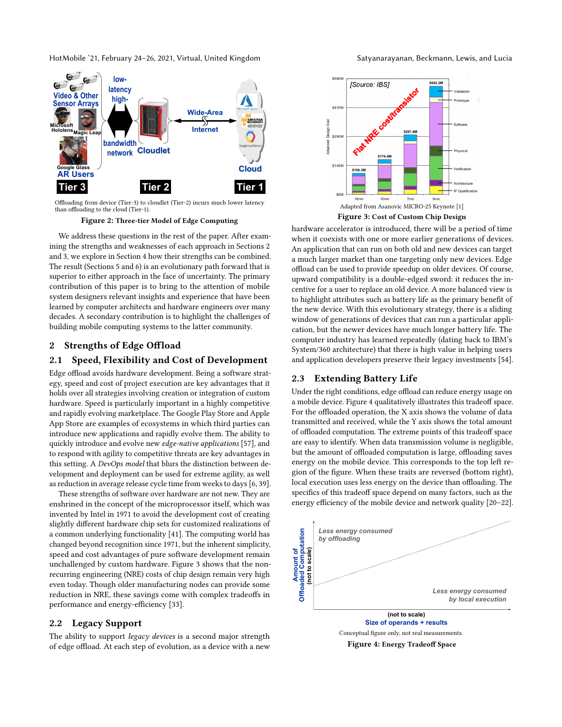HotMobile '21, February 24–26, 2021, Virtual, United Kingdom Satyanarayanan, Beckmann, Lewis, and Lucia

<span id="page-1-0"></span>

Offloading from device (Tier-3) to cloudlet (Tier-2) incurs much lower latency than offloading to the cloud (Tier-1).

Figure 2: Three-tier Model of Edge Computing

We address these questions in the rest of the paper. After examining the strengths and weaknesses of each approach in Sections [2](#page-1-1) and [3,](#page-2-0) we explore in Section [4](#page-3-0) how their strengths can be combined. The result (Sections [5](#page-3-1) and [6\)](#page-4-0) is an evolutionary path forward that is superior to either approach in the face of uncertainty. The primary contribution of this paper is to bring to the attention of mobile system designers relevant insights and experience that have been learned by computer architects and hardware engineers over many decades. A secondary contribution is to highlight the challenges of building mobile computing systems to the latter community.

# <span id="page-1-1"></span>2 Strengths of Edge Offload

#### 2.1 Speed, Flexibility and Cost of Development

Edge offload avoids hardware development. Being a software strategy, speed and cost of project execution are key advantages that it holds over all strategies involving creation or integration of custom hardware. Speed is particularly important in a highly competitive and rapidly evolving marketplace. The Google Play Store and Apple App Store are examples of ecosystems in which third parties can introduce new applications and rapidly evolve them. The ability to quickly introduce and evolve new edge-native applications [\[57\]](#page-7-4), and to respond with agility to competitive threats are key advantages in this setting. A DevOps model that blurs the distinction between development and deployment can be used for extreme agility, as well as reduction in average release cycle time from weeks to days [\[6,](#page-6-8) [39\]](#page-6-9).

These strengths of software over hardware are not new. They are enshrined in the concept of the microprocessor itself, which was invented by Intel in 1971 to avoid the development cost of creating slightly different hardware chip sets for customized realizations of a common underlying functionality [\[41\]](#page-6-10). The computing world has changed beyond recognition since 1971, but the inherent simplicity, speed and cost advantages of pure software development remain unchallenged by custom hardware. Figure [3](#page-1-2) shows that the nonrecurring engineering (NRE) costs of chip design remain very high even today. Though older manufacturing nodes can provide some reduction in NRE, these savings come with complex tradeoffs in performance and energy-efficiency [\[33\]](#page-6-11).

# 2.2 Legacy Support

The ability to support legacy devices is a second major strength of edge offload. At each step of evolution, as a device with a new

<span id="page-1-2"></span>

Figure 3: Cost of Custom Chip Design

hardware accelerator is introduced, there will be a period of time when it coexists with one or more earlier generations of devices. An application that can run on both old and new devices can target a much larger market than one targeting only new devices. Edge offload can be used to provide speedup on older devices. Of course, upward compatibility is a double-edged sword: it reduces the incentive for a user to replace an old device. A more balanced view is to highlight attributes such as battery life as the primary benefit of the new device. With this evolutionary strategy, there is a sliding window of generations of devices that can run a particular application, but the newer devices have much longer battery life. The computer industry has learned repeatedly (dating back to IBM's System/360 architecture) that there is high value in helping users and application developers preserve their legacy investments [\[54\]](#page-7-5).

# <span id="page-1-4"></span>2.3 Extending Battery Life

Under the right conditions, edge offload can reduce energy usage on a mobile device. Figure [4](#page-1-3) qualitatively illustrates this tradeoff space. For the offloaded operation, the X axis shows the volume of data transmitted and received, while the Y axis shows the total amount of offloaded computation. The extreme points of this tradeoff space are easy to identify. When data transmission volume is negligible, but the amount of offloaded computation is large, offloading saves energy on the mobile device. This corresponds to the top left region of the figure. When these traits are reversed (bottom right), local execution uses less energy on the device than offloading. The specifics of this tradeoff space depend on many factors, such as the energy efficiency of the mobile device and network quality [\[20](#page-6-1)[–22\]](#page-6-13).

<span id="page-1-3"></span>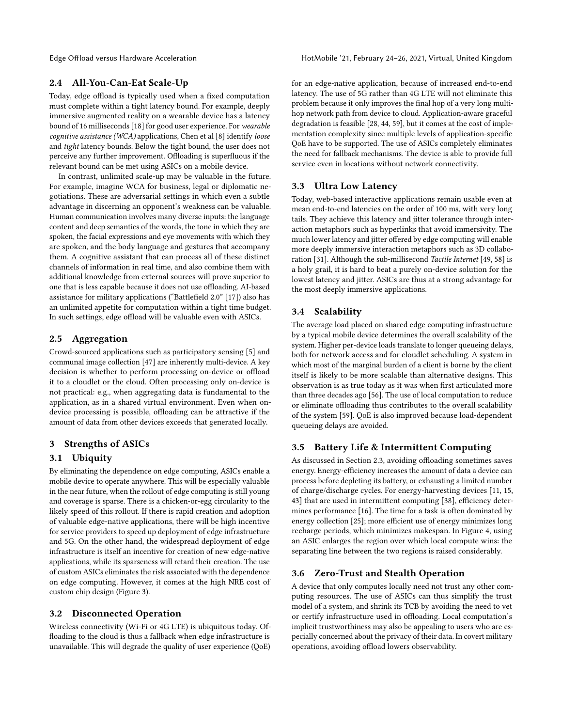# 2.4 All-You-Can-Eat Scale-Up

Today, edge offload is typically used when a fixed computation must complete within a tight latency bound. For example, deeply immersive augmented reality on a wearable device has a latency bound of 16 milliseconds [\[18\]](#page-6-14) for good user experience. For wearable cognitive assistance (WCA) applications, Chen et al [\[8\]](#page-6-15) identify loose and tight latency bounds. Below the tight bound, the user does not perceive any further improvement. Offloading is superfluous if the relevant bound can be met using ASICs on a mobile device.

In contrast, unlimited scale-up may be valuable in the future. For example, imagine WCA for business, legal or diplomatic negotiations. These are adversarial settings in which even a subtle advantage in discerning an opponent's weakness can be valuable. Human communication involves many diverse inputs: the language content and deep semantics of the words, the tone in which they are spoken, the facial expressions and eye movements with which they are spoken, and the body language and gestures that accompany them. A cognitive assistant that can process all of these distinct channels of information in real time, and also combine them with additional knowledge from external sources will prove superior to one that is less capable because it does not use offloading. AI-based assistance for military applications ("Battlefield 2.0" [\[17\]](#page-6-16)) also has an unlimited appetite for computation within a tight time budget. In such settings, edge offload will be valuable even with ASICs.

# 2.5 Aggregation

Crowd-sourced applications such as participatory sensing [\[5\]](#page-6-17) and communal image collection [\[47\]](#page-6-18) are inherently multi-device. A key decision is whether to perform processing on-device or offload it to a cloudlet or the cloud. Often processing only on-device is not practical: e.g., when aggregating data is fundamental to the application, as in a shared virtual environment. Even when ondevice processing is possible, offloading can be attractive if the amount of data from other devices exceeds that generated locally.

# <span id="page-2-0"></span>3 Strengths of ASICs

# 3.1 Ubiquity

By eliminating the dependence on edge computing, ASICs enable a mobile device to operate anywhere. This will be especially valuable in the near future, when the rollout of edge computing is still young and coverage is sparse. There is a chicken-or-egg circularity to the likely speed of this rollout. If there is rapid creation and adoption of valuable edge-native applications, there will be high incentive for service providers to speed up deployment of edge infrastructure and 5G. On the other hand, the widespread deployment of edge infrastructure is itself an incentive for creation of new edge-native applications, while its sparseness will retard their creation. The use of custom ASICs eliminates the risk associated with the dependence on edge computing. However, it comes at the high NRE cost of custom chip design (Figure [3\)](#page-1-2).

# 3.2 Disconnected Operation

Wireless connectivity (Wi-Fi or 4G LTE) is ubiquitous today. Offloading to the cloud is thus a fallback when edge infrastructure is unavailable. This will degrade the quality of user experience (QoE)

Edge Offload versus Hardware Acceleration **HotAobile '21, February 24–26, 2021, Virtual, United Kingdom** 

for an edge-native application, because of increased end-to-end latency. The use of 5G rather than 4G LTE will not eliminate this problem because it only improves the final hop of a very long multihop network path from device to cloud. Application-aware graceful degradation is feasible [\[28,](#page-6-19) [44,](#page-6-2) [59\]](#page-7-6), but it comes at the cost of implementation complexity since multiple levels of application-specific QoE have to be supported. The use of ASICs completely eliminates the need for fallback mechanisms. The device is able to provide full service even in locations without network connectivity.

# 3.3 Ultra Low Latency

Today, web-based interactive applications remain usable even at mean end-to-end latencies on the order of 100 ms, with very long tails. They achieve this latency and jitter tolerance through interaction metaphors such as hyperlinks that avoid immersivity. The much lower latency and jitter offered by edge computing will enable more deeply immersive interaction metaphors such as 3D collaboration [\[31\]](#page-6-20). Although the sub-millisecond Tactile Internet [\[49,](#page-7-7) [58\]](#page-7-8) is a holy grail, it is hard to beat a purely on-device solution for the lowest latency and jitter. ASICs are thus at a strong advantage for the most deeply immersive applications.

#### 3.4 Scalability

The average load placed on shared edge computing infrastructure by a typical mobile device determines the overall scalability of the system. Higher per-device loads translate to longer queueing delays, both for network access and for cloudlet scheduling. A system in which most of the marginal burden of a client is borne by the client itself is likely to be more scalable than alternative designs. This observation is as true today as it was when first articulated more than three decades ago [\[56\]](#page-7-9). The use of local computation to reduce or eliminate offloading thus contributes to the overall scalability of the system [\[59\]](#page-7-6). QoE is also improved because load-dependent queueing delays are avoided.

# 3.5 Battery Life & Intermittent Computing

As discussed in Section [2.3,](#page-1-4) avoiding offloading sometimes saves energy. Energy-efficiency increases the amount of data a device can process before depleting its battery, or exhausting a limited number of charge/discharge cycles. For energy-harvesting devices [\[11,](#page-6-21) [15,](#page-6-22) [43\]](#page-6-23) that are used in intermittent computing [\[38\]](#page-6-24), efficiency determines performance [\[16\]](#page-6-25). The time for a task is often dominated by energy collection [\[25\]](#page-6-26); more efficient use of energy minimizes long recharge periods, which minimizes makespan. In Figure [4,](#page-1-3) using an ASIC enlarges the region over which local compute wins: the separating line between the two regions is raised considerably.

### 3.6 Zero-Trust and Stealth Operation

A device that only computes locally need not trust any other computing resources. The use of ASICs can thus simplify the trust model of a system, and shrink its TCB by avoiding the need to vet or certify infrastructure used in offloading. Local computation's implicit trustworthiness may also be appealing to users who are especially concerned about the privacy of their data. In covert military operations, avoiding offload lowers observability.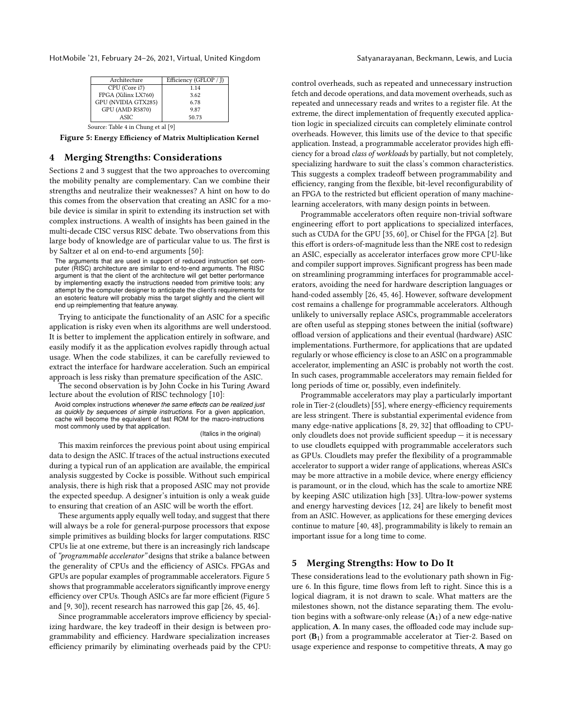<span id="page-3-2"></span>HotMobile '21, February 24–26, 2021, Virtual, United Kingdom Satyanarayanan, Beckmann, Lewis, and Lucia

| Architecture                       | Efficiency (GFLOP / J) |  |  |  |
|------------------------------------|------------------------|--|--|--|
| CPU (Core i7)                      | 1.14                   |  |  |  |
| FPGA (Xilinx LX760)                | 3.62                   |  |  |  |
| GPU (NVIDIA GTX285)                | 6.78                   |  |  |  |
| <b>GPU (AMD R5870)</b>             | 9.87                   |  |  |  |
| <b>ASIC</b>                        | 50.73                  |  |  |  |
| Source: Table 4 in Chung et al [9] |                        |  |  |  |

Figure 5: Energy Efficiency of Matrix Multiplication Kernel

#### <span id="page-3-0"></span>4 Merging Strengths: Considerations

Sections [2](#page-1-1) and [3](#page-2-0) suggest that the two approaches to overcoming the mobility penalty are complementary. Can we combine their strengths and neutralize their weaknesses? A hint on how to do this comes from the observation that creating an ASIC for a mobile device is similar in spirit to extending its instruction set with complex instructions. A wealth of insights has been gained in the multi-decade CISC versus RISC debate. Two observations from this large body of knowledge are of particular value to us. The first is by Saltzer et al on end-to-end arguments [\[50\]](#page-7-10):

The arguments that are used in support of reduced instruction set computer (RISC) architecture are similar to end-to-end arguments. The RISC argument is that the client of the architecture will get better performance by implementing exactly the instructions needed from primitive tools; any attempt by the computer designer to anticipate the client's requirements for an esoteric feature will probably miss the target slightly and the client will end up reimplementing that feature anyway.

Trying to anticipate the functionality of an ASIC for a specific application is risky even when its algorithms are well understood. It is better to implement the application entirely in software, and easily modify it as the application evolves rapidly through actual usage. When the code stabilizes, it can be carefully reviewed to extract the interface for hardware acceleration. Such an empirical approach is less risky than premature specification of the ASIC.

The second observation is by John Cocke in his Turing Award lecture about the evolution of RISC technology [\[10\]](#page-6-28):

Avoid complex instructions *whenever the same effects can be realized just as quickly by sequences of simple instructions.* For a given application, cache will become the equivalent of fast ROM for the macro-instructions most commonly used by that application.

#### (Italics in the original)

This maxim reinforces the previous point about using empirical data to design the ASIC. If traces of the actual instructions executed during a typical run of an application are available, the empirical analysis suggested by Cocke is possible. Without such empirical analysis, there is high risk that a proposed ASIC may not provide the expected speedup. A designer's intuition is only a weak guide to ensuring that creation of an ASIC will be worth the effort.

These arguments apply equally well today, and suggest that there will always be a role for general-purpose processors that expose simple primitives as building blocks for larger computations. RISC CPUs lie at one extreme, but there is an increasingly rich landscape of "programmable accelerator" designs that strike a balance between the generality of CPUs and the efficiency of ASICs. FPGAs and GPUs are popular examples of programmable accelerators. Figure [5](#page-3-2) shows that programmable accelerators significantly improve energy efficiency over CPUs. Though ASICs are far more efficient (Figure [5](#page-3-2) and [\[9,](#page-6-27) [30\]](#page-6-29)), recent research has narrowed this gap [\[26,](#page-6-30) [45,](#page-6-31) [46\]](#page-6-32).

Since programmable accelerators improve efficiency by specializing hardware, the key tradeoff in their design is between programmability and efficiency. Hardware specialization increases efficiency primarily by eliminating overheads paid by the CPU:

control overheads, such as repeated and unnecessary instruction fetch and decode operations, and data movement overheads, such as repeated and unnecessary reads and writes to a register file. At the extreme, the direct implementation of frequently executed application logic in specialized circuits can completely eliminate control overheads. However, this limits use of the device to that specific application. Instead, a programmable accelerator provides high efficiency for a broad class of workloads by partially, but not completely, specializing hardware to suit the class's common characteristics. This suggests a complex tradeoff between programmability and efficiency, ranging from the flexible, bit-level reconfigurability of an FPGA to the restricted but efficient operation of many machinelearning accelerators, with many design points in between.

Programmable accelerators often require non-trivial software engineering effort to port applications to specialized interfaces, such as CUDA for the GPU [\[35,](#page-6-33) [60\]](#page-7-11), or Chisel for the FPGA [\[2\]](#page-6-34). But this effort is orders-of-magnitude less than the NRE cost to redesign an ASIC, especially as accelerator interfaces grow more CPU-like and compiler support improves. Significant progress has been made on streamlining programming interfaces for programmable accelerators, avoiding the need for hardware description languages or hand-coded assembly [\[26,](#page-6-30) [45,](#page-6-31) [46\]](#page-6-32). However, software development cost remains a challenge for programmable accelerators. Although unlikely to universally replace ASICs, programmable accelerators are often useful as stepping stones between the initial (software) offload version of applications and their eventual (hardware) ASIC implementations. Furthermore, for applications that are updated regularly or whose efficiency is close to an ASIC on a programmable accelerator, implementing an ASIC is probably not worth the cost. In such cases, programmable accelerators may remain fielded for long periods of time or, possibly, even indefinitely.

Programmable accelerators may play a particularly important role in Tier-2 (cloudlets) [\[55\]](#page-7-12), where energy-efficiency requirements are less stringent. There is substantial experimental evidence from many edge-native applications [\[8,](#page-6-15) [29,](#page-6-35) [32\]](#page-6-36) that offloading to CPUonly cloudlets does not provide sufficient speedup  $-$  it is necessary to use cloudlets equipped with programmable accelerators such as GPUs. Cloudlets may prefer the flexibility of a programmable accelerator to support a wider range of applications, whereas ASICs may be more attractive in a mobile device, where energy efficiency is paramount, or in the cloud, which has the scale to amortize NRE by keeping ASIC utilization high [\[33\]](#page-6-11). Ultra-low-power systems and energy harvesting devices [\[12,](#page-6-37) [24\]](#page-6-38) are likely to benefit most from an ASIC. However, as applications for these emerging devices continue to mature [\[40,](#page-6-39) [48\]](#page-6-40), programmability is likely to remain an important issue for a long time to come.

#### <span id="page-3-1"></span>5 Merging Strengths: How to Do It

These considerations lead to the evolutionary path shown in Figure [6.](#page-4-1) In this figure, time flows from left to right. Since this is a logical diagram, it is not drawn to scale. What matters are the milestones shown, not the distance separating them. The evolution begins with a software-only release  $(A<sub>1</sub>)$  of a new edge-native application, A. In many cases, the offloaded code may include support  $(B_1)$  from a programmable accelerator at Tier-2. Based on usage experience and response to competitive threats, A may go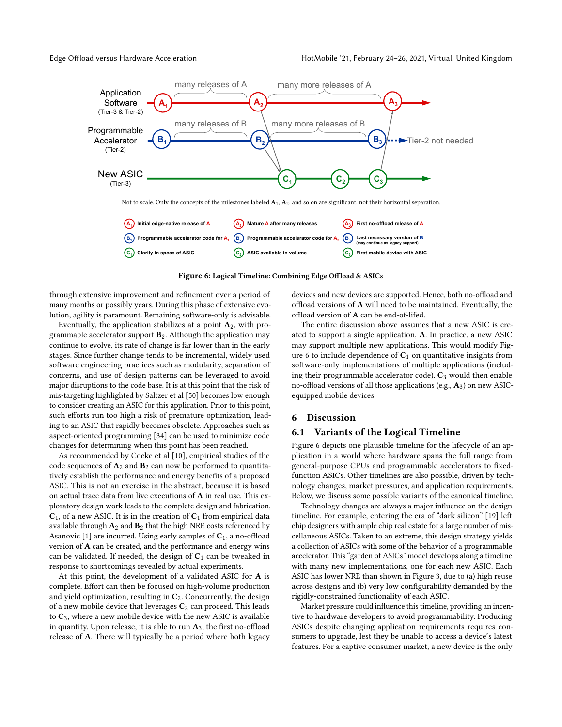<span id="page-4-1"></span>

Figure 6: Logical Timeline: Combining Edge Offload & ASICs

through extensive improvement and refinement over a period of many months or possibly years. During this phase of extensive evolution, agility is paramount. Remaining software-only is advisable.

Eventually, the application stabilizes at a point  $A_2$ , with programmable accelerator support  $B_2$ . Although the application may continue to evolve, its rate of change is far lower than in the early stages. Since further change tends to be incremental, widely used software engineering practices such as modularity, separation of concerns, and use of design patterns can be leveraged to avoid major disruptions to the code base. It is at this point that the risk of mis-targeting highlighted by Saltzer et al [\[50\]](#page-7-10) becomes low enough to consider creating an ASIC for this application. Prior to this point, such efforts run too high a risk of premature optimization, leading to an ASIC that rapidly becomes obsolete. Approaches such as aspect-oriented programming [\[34\]](#page-6-41) can be used to minimize code changes for determining when this point has been reached.

As recommended by Cocke et al [\[10\]](#page-6-28), empirical studies of the code sequences of  $A_2$  and  $B_2$  can now be performed to quantitatively establish the performance and energy benefits of a proposed ASIC. This is not an exercise in the abstract, because it is based on actual trace data from live executions of A in real use. This exploratory design work leads to the complete design and fabrication,  $C_1$ , of a new ASIC. It is in the creation of  $C_1$  from empirical data available through  $A_2$  and  $B_2$  that the high NRE costs referenced by Asanovic [\[1\]](#page-6-12) are incurred. Using early samples of  $C_1$ , a no-offload version of  ${\bf A}$  can be created, and the performance and energy wins can be validated. If needed, the design of  $C_1$  can be tweaked in response to shortcomings revealed by actual experiments.

At this point, the development of a validated ASIC for A is complete. Effort can then be focused on high-volume production and yield optimization, resulting in  $C_2$ . Concurrently, the design of a new mobile device that leverages  $C_2$  can proceed. This leads to  $C_3$ , where a new mobile device with the new ASIC is available in quantity. Upon release, it is able to run  $A_3$ , the first no-offload release of A. There will typically be a period where both legacy devices and new devices are supported. Hence, both no-offload and offload versions of A will need to be maintained. Eventually, the offload version of A can be end-of-lifed.

The entire discussion above assumes that a new ASIC is created to support a single application, A. In practice, a new ASIC may support multiple new applications. This would modify Fig-ure [6](#page-4-1) to include dependence of  $C_1$  on quantitative insights from software-only implementations of multiple applications (including their programmable accelerator code).  $C_3$  would then enable no-offload versions of all those applications (e.g.,  $A_3$ ) on new ASICequipped mobile devices.

# <span id="page-4-0"></span>6 Discussion

#### 6.1 Variants of the Logical Timeline

Figure [6](#page-4-1) depicts one plausible timeline for the lifecycle of an application in a world where hardware spans the full range from general-purpose CPUs and programmable accelerators to fixedfunction ASICs. Other timelines are also possible, driven by technology changes, market pressures, and application requirements. Below, we discuss some possible variants of the canonical timeline.

Technology changes are always a major influence on the design timeline. For example, entering the era of "dark silicon" [\[19\]](#page-6-42) left chip designers with ample chip real estate for a large number of miscellaneous ASICs. Taken to an extreme, this design strategy yields a collection of ASICs with some of the behavior of a programmable accelerator. This "garden of ASICs" model develops along a timeline with many new implementations, one for each new ASIC. Each ASIC has lower NRE than shown in Figure [3,](#page-1-2) due to (a) high reuse across designs and (b) very low configurability demanded by the rigidly-constrained functionality of each ASIC.

Market pressure could influence this timeline, providing an incentive to hardware developers to avoid programmability. Producing ASICs despite changing application requirements requires consumers to upgrade, lest they be unable to access a device's latest features. For a captive consumer market, a new device is the only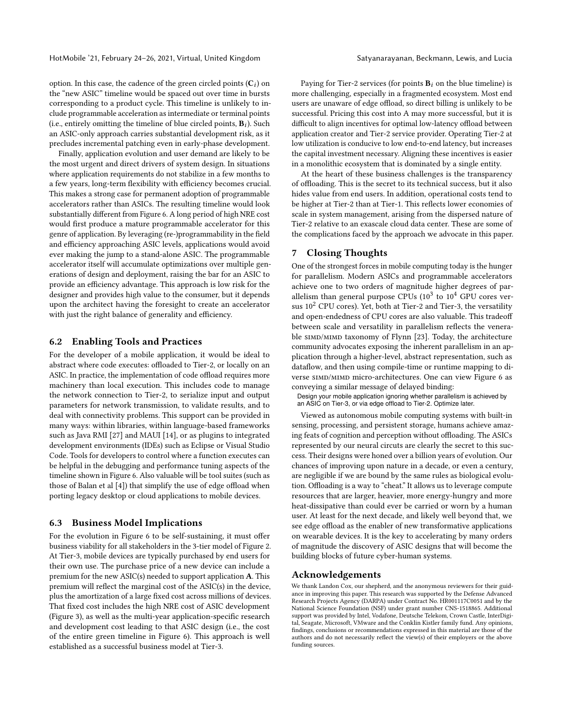HotMobile '21, February 24–26, 2021, Virtual, United Kingdom Satyanarayanan, Beckmann, Lewis, and Lucia

option. In this case, the cadence of the green circled points  $(C<sub>i</sub>)$  on the "new ASIC" timeline would be spaced out over time in bursts corresponding to a product cycle. This timeline is unlikely to include programmable acceleration as intermediate or terminal points (i.e., entirely omitting the timeline of blue circled points,  $B_i$ ). Such an ASIC-only approach carries substantial development risk, as it precludes incremental patching even in early-phase development.

Finally, application evolution and user demand are likely to be the most urgent and direct drivers of system design. In situations where application requirements do not stabilize in a few months to a few years, long-term flexibility with efficiency becomes crucial. This makes a strong case for permanent adoption of programmable accelerators rather than ASICs. The resulting timeline would look substantially different from Figure [6.](#page-4-1) A long period of high NRE cost would first produce a mature programmable accelerator for this genre of application. By leveraging (re-)programmability in the field and efficiency approaching ASIC levels, applications would avoid ever making the jump to a stand-alone ASIC. The programmable accelerator itself will accumulate optimizations over multiple generations of design and deployment, raising the bar for an ASIC to provide an efficiency advantage. This approach is low risk for the designer and provides high value to the consumer, but it depends upon the architect having the foresight to create an accelerator with just the right balance of generality and efficiency.

#### 6.2 Enabling Tools and Practices

For the developer of a mobile application, it would be ideal to abstract where code executes: offloaded to Tier-2, or locally on an ASIC. In practice, the implementation of code offload requires more machinery than local execution. This includes code to manage the network connection to Tier-2, to serialize input and output parameters for network transmission, to validate results, and to deal with connectivity problems. This support can be provided in many ways: within libraries, within language-based frameworks such as Java RMI [\[27\]](#page-6-43) and MAUI [\[14\]](#page-6-44), or as plugins to integrated development environments (IDEs) such as Eclipse or Visual Studio Code. Tools for developers to control where a function executes can be helpful in the debugging and performance tuning aspects of the timeline shown in Figure [6.](#page-4-1) Also valuable will be tool suites (such as those of Balan et al [\[4\]](#page-6-45)) that simplify the use of edge offload when porting legacy desktop or cloud applications to mobile devices.

# 6.3 Business Model Implications

For the evolution in Figure [6](#page-4-1) to be self-sustaining, it must offer business viability for all stakeholders in the 3-tier model of Figure [2.](#page-1-0) At Tier-3, mobile devices are typically purchased by end users for their own use. The purchase price of a new device can include a premium for the new ASIC(s) needed to support application A. This premium will reflect the marginal cost of the ASIC(s) in the device, plus the amortization of a large fixed cost across millions of devices. That fixed cost includes the high NRE cost of ASIC development (Figure [3\)](#page-1-2), as well as the multi-year application-specific research and development cost leading to that ASIC design (i.e., the cost of the entire green timeline in Figure [6\)](#page-4-1). This approach is well established as a successful business model at Tier-3.

Paying for Tier-2 services (for points  $B_i$  on the blue timeline) is more challenging, especially in a fragmented ecosystem. Most end users are unaware of edge offload, so direct billing is unlikely to be successful. Pricing this cost into A may more successful, but it is difficult to align incentives for optimal low-latency offload between application creator and Tier-2 service provider. Operating Tier-2 at low utilization is conducive to low end-to-end latency, but increases the capital investment necessary. Aligning these incentives is easier in a monolithic ecosystem that is dominated by a single entity.

At the heart of these business challenges is the transparency of offloading. This is the secret to its technical success, but it also hides value from end users. In addition, operational costs tend to be higher at Tier-2 than at Tier-1. This reflects lower economies of scale in system management, arising from the dispersed nature of Tier-2 relative to an exascale cloud data center. These are some of the complications faced by the approach we advocate in this paper.

# 7 Closing Thoughts

One of the strongest forces in mobile computing today is the hunger for parallelism. Modern ASICs and programmable accelerators achieve one to two orders of magnitude higher degrees of parallelism than general purpose CPUs  $(10^3 \text{ to } 10^4 \text{ GPU cores}})$ sus  $10^2$  CPU cores). Yet, both at Tier-2 and Tier-3, the versatility and open-endedness of CPU cores are also valuable. This tradeoff between scale and versatility in parallelism reflects the venera-ble SIMD/MIMD taxonomy of Flynn [\[23\]](#page-6-46). Today, the architecture community advocates exposing the inherent parallelism in an application through a higher-level, abstract representation, such as dataflow, and then using compile-time or runtime mapping to diverse simd/mimd micro-architectures. One can view Figure [6](#page-4-1) as conveying a similar message of delayed binding:

Design your mobile application ignoring whether parallelism is achieved by an ASIC on Tier-3, or via edge offload to Tier-2. Optimize later.

Viewed as autonomous mobile computing systems with built-in sensing, processing, and persistent storage, humans achieve amazing feats of cognition and perception without offloading. The ASICs represented by our neural circuts are clearly the secret to this success. Their designs were honed over a billion years of evolution. Our chances of improving upon nature in a decade, or even a century, are negligible if we are bound by the same rules as biological evolution. Offloading is a way to "cheat." It allows us to leverage compute resources that are larger, heavier, more energy-hungry and more heat-dissipative than could ever be carried or worn by a human user. At least for the next decade, and likely well beyond that, we see edge offload as the enabler of new transformative applications on wearable devices. It is the key to accelerating by many orders of magnitude the discovery of ASIC designs that will become the building blocks of future cyber-human systems.

# Acknowledgements

We thank Landon Cox, our shepherd, and the anonymous reviewers for their guidance in improving this paper. This research was supported by the Defense Advanced Research Projects Agency (DARPA) under Contract No. HR001117C0051 and by the National Science Foundation (NSF) under grant number CNS-1518865. Additional support was provided by Intel, Vodafone, Deutsche Telekom, Crown Castle, InterDigital, Seagate, Microsoft, VMware and the Conklin Kistler family fund. Any opinions, findings, conclusions or recommendations expressed in this material are those of the authors and do not necessarily reflect the view(s) of their employers or the above funding sources.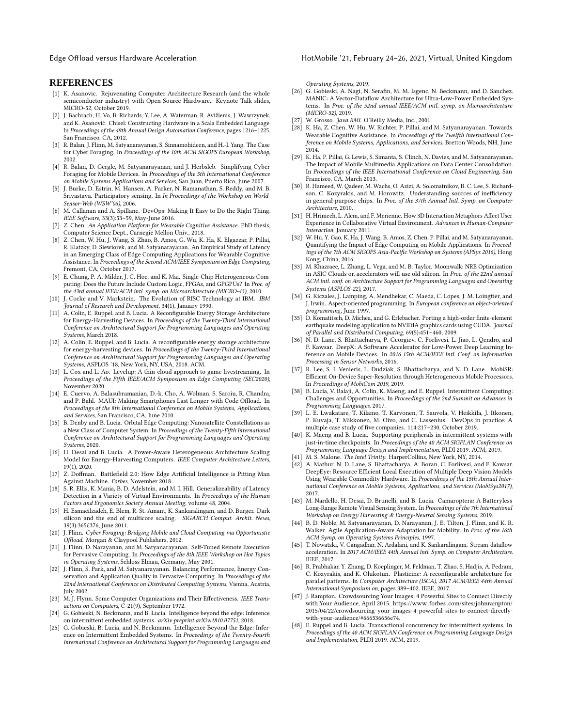Edge Offload versus Hardware Acceleration **HotAobile '21, February 24–26, 2021, Virtual, United Kingdom** 

#### REFERENCES

- <span id="page-6-12"></span>[1] K. Asanovic. Rejuvenating Computer Architecture Research (and the whole semiconductor industry) with Open-Source Hardware. Keynote Talk slides, MICRO-52, October 2019.
- <span id="page-6-34"></span>[2] J. Bachrach, H. Vo, B. Richards, Y. Lee, A. Waterman, R. Avižienis, J. Wawrzynek, and K. Asanović. Chisel: Constructing Hardware in a Scala Embedded Language. In Proceedings of the 49th Annual Design Automation Conference, pages 1216–1225, San Francisco, CA, 2012.
- <span id="page-6-3"></span>[3] R. Balan, J. Flinn, M. Satyanarayanan, S. Sinnamohideen, and H.-I. Yang. The Case for Cyber Foraging. In Proceedings of the 10th ACM SIGOPS European Workshop, 2002.
- <span id="page-6-45"></span>[4] R. Balan, D. Gergle, M. Satyanarayanan, and J. Herbsleb. Simplifying Cyber Foraging for Mobile Devices. In Proceedings of the 5th International Conference on Mobile Systems Applications and Services, San Juan, Puerto Rico, June 2007.
- <span id="page-6-17"></span>[5] J. Burke, D. Estrin, M. Hansen, A. Parker, N. Ramanathan, S. Reddy, and M. B. Srivastava. Participatory sensing. In In Proceedings of the Workshop on World-Sensor-Web (WSW'06), 2006.
- <span id="page-6-8"></span>[6] M. Callanan and A. Spillane. DevOps: Making It Easy to Do the Right Thing. IEEE Software, 33(3):53–59, May-June 2016.
- <span id="page-6-0"></span>[7] Z. Chen. An Application Platform for Wearable Cognitive Assistance. PhD thesis, Computer Science Dept., Carnegie Mellon Univ., 2018.
- <span id="page-6-15"></span>[8] Z. Chen, W. Hu, J. Wang, S. Zhao, B. Amos, G. Wu, K. Ha, K. Elgazzar, P. Pillai, R. Klatzky, D. Siewiorek, and M. Satyanarayanan. An Empirical Study of Latency in an Emerging Class of Edge Computing Applications for Wearable Cognitive Assistance. In Proceedings of the Second ACM/IEEE Symposium on Edge Computing, Fremont, CA, October 2017.
- <span id="page-6-27"></span>[9] E. Chung, P. A. Milder, J. C. Hoe, and K. Mai. Single-Chip Heterogeneous Computing: Does the Future Include Custom Logic, FPGAs, and GPGPUs? In Proc. of the 43rd annual IEEE/ACM intl. symp. on Microarchitecture (MICRO-43), 2010.
- <span id="page-6-28"></span>[10] J. Cocke and V. Markstein. The Evolution of RISC Technology at IBM. IBM Journal of Research and Development, 34(1), January 1990.
- <span id="page-6-21"></span>[11] A. Colin, E. Ruppel, and B. Lucia. A Reconfigurable Energy Storage Architecture for Energy-Harvesting Devices. In Proceedings of the Twenty-Third International Conference on Architectural Support for Programming Languages and Operating Systems, March 2018.
- <span id="page-6-37"></span>[12] A. Colin, E. Ruppel, and B. Lucia. A reconfigurable energy storage architecture for energy-harvesting devices. In Proceedings of the Twenty-Third International Conference on Architectural Support for Programming Languages and Operating Systems, ASPLOS '18, New York, NY, USA, 2018. ACM.
- <span id="page-6-4"></span>[13] L. Cox and L. Ao. Levelup: A thin-cloud approach to game livestreaming. In Proceedings of the Fifth IEEE/ACM Symposium on Edge Computing (SEC2020), November 2020.
- <span id="page-6-44"></span>[14] E. Cuervo, A. Balasubramanian, D.-k. Cho, A. Wolman, S. Saroiu, R. Chandra, and P. Bahl. MAUI: Making Smartphones Last Longer with Code Offload. In Proceedings of the 8th International Conference on Mobile Systems, Applications, and Services, San Francisco, CA, June 2010.
- <span id="page-6-22"></span>[15] B. Denby and B. Lucia. Orbital Edge Computing: Nanosatellite Constellations as a New Class of Computer System. In Proceedings of the Twenty-Fifth International Conference on Architectural Support for Programming Languages and Operating Systems, 2020.
- <span id="page-6-25"></span>[16] H. Desai and B. Lucia. A Power-Aware Heterogeneous Architecture Scaling Model for Energy-Harvesting Computers. IEEE Computer Architecture Letters, 19(1), 2020.
- <span id="page-6-16"></span>[17] Z. Doffman. Battlefield 2.0: How Edge Artificial Intelligence is Pitting Man Against Machine. Forbes, November 2018.
- <span id="page-6-14"></span>[18] S. R. Ellis, K. Mania, B. D. Adelstein, and M. I. Hill. Generalizeability of Latency Detection in a Variety of Virtual Environments. In Proceedings of the Human Factors and Ergonomics Society Annual Meeting, volume 48, 2004.
- <span id="page-6-42"></span>[19] H. Esmaeilzadeh, E. Blem, R. St. Amant, K. Sankaralingam, and D. Burger. Dark silicon and the end of multicore scaling. SIGARCH Comput. Archit. News, 39(3):365£376, June 2011.
- <span id="page-6-1"></span>[20] J. Flinn. Cyber Foraging: Bridging Mobile and Cloud Computing via Opportunistic Offload. Morgan & Claypool Publishers, 2012.
- [21] J. Flinn, D. Narayanan, and M. Satyanarayanan. Self-Tuned Remote Execution for Pervasive Computing. In Proceedings of the 8th IEEE Workshop on Hot Topics in Operating Systems, Schloss Elmau, Germany, May 2001.
- <span id="page-6-13"></span>[22] J. Flinn, S. Park, and M. Satyanarayanan. Balancing Performance, Energy Conservation and Application Quality in Pervasive Computing. In Proceedings of the 22nd International Conference on Distributed Computing Systems, Vienna, Austria, July 2002.
- <span id="page-6-46"></span>[23] M. J. Flynn. Some Computer Organizations and Their Effectiveness. IEEE Transactions on Computers, C-21(9), September 1972.
- <span id="page-6-38"></span>[24] G. Gobieski, N. Beckmann, and B. Lucia. Intelligence beyond the edge: Inference on intermittent embedded systems. arXiv preprint arXiv:1810.07751, 2018.
- <span id="page-6-26"></span>[25] G. Gobieski, B. Lucia, and N. Beckmann. Intelligence Beyond the Edge: Inference on Intermittent Embedded Systems. In Proceedings of the Twenty-Fourth International Conference on Architectural Support for Programming Languages and

Operating Systems, 2019.

- <span id="page-6-30"></span>[26] G. Gobieski, A. Nagi, N. Serafin, M. M. Isgenc, N. Beckmann, and D. Sanchez. MANIC: A Vector-Dataflow Architecture for Ultra-Low-Power Embedded Systems. In Proc. of the 52nd annual IEEE/ACM intl. symp. on Microarchitecture (MICRO-52), 2019.
- <span id="page-6-43"></span>[27] W. Grosso. Java RMI. O'Reilly Media, Inc., 2001.
- <span id="page-6-19"></span>[28] K. Ha, Z. Chen, W. Hu, W. Richter, P. Pillai, and M. Satyanarayanan. Towards Wearable Cognitive Assistance. In Proceedings of the Twelfth International Conference on Mobile Systems, Applications, and Services, Bretton Woods, NH, June 2014.
- <span id="page-6-35"></span>[29] K. Ha, P. Pillai, G. Lewis, S. Simanta, S. Clinch, N. Davies, and M. Satyanarayanan. The Impact of Mobile Multimedia Applications on Data Center Consolidation. In Proceedings of the IEEE International Conference on Cloud Engineering, San Francisco, CA, March 2013.
- <span id="page-6-29"></span>[30] R. Hameed, W. Qadeer, M. Wachs, O. Azizi, A. Solomatnikov, B. C. Lee, S. Richardson, C. Kozyrakis, and M. Horowitz. Understanding sources of inefficiency in general-purpose chips. In Proc. of the 37th Annual Intl. Symp. on Computer Architecture, 2010.
- <span id="page-6-20"></span>[31] H. Hrimech, L. Alem, and F. Merienne. How 3D Interaction Metaphors Affect User Experience in Collaborative Virtual Environment. Advances in Human-Computer Interaction, January 2011.
- <span id="page-6-36"></span>[32] W. Hu, Y. Gao, K. Ha, J. Wang, B. Amos, Z. Chen, P. Pillai, and M. Satyanarayanan. Quantifying the Impact of Edge Computing on Mobile Applications. In Proceedings of the 7th ACM SIGOPS Asia-Pacific Workshop on Systems (APSys 2016), Hong Kong, China, 2016.
- <span id="page-6-11"></span>[33] M. Khazraee, L. Zhang, L. Vega, and M. B. Taylor. Moonwalk: NRE Optimization in ASIC Clouds or, accelerators will use old silicon. In Proc. of the 22nd annual ACM intl. conf. on Architecture Support for Programming Languages and Operating Systems (ASPLOS-22), 2017.
- <span id="page-6-41"></span>[34] G. Kiczales, J. Lamping, A. Mendhekar, C. Maeda, C. Lopes, J. M. Loingtier, and J. Irwin. Aspect-oriented programming. In European conference on object-oriented programming, June 1997.
- <span id="page-6-33"></span>[35] D. Komatitsch, D. Michea, and G. Erlebacher. Porting a high-order finite-element earthquake modeling application to NVIDIA graphics cards using CUDA. Journal of Parallel and Distributed Computing, 69(5):451–460, 2009.
- <span id="page-6-5"></span>[36] N. D. Lane, S. Bhattacharya, P. Georgiev, C. Forlivesi, L. Jiao, L. Qendro, and F. Kawsar. DeepX: A Software Accelerator for Low-Power Deep Learning Inference on Mobile Devices. In 2016 15th ACM/IEEE Intl. Conf. on Information Processing in Sensor Networks, 2016.
- <span id="page-6-6"></span>[37] R. Lee, S. I. Venieris, L. Dudziak, S. Bhattacharya, and N. D. Lane. MobiSR: Efficient On-Device Super-Resolution through Heterogeneous Mobile Processors. In Proceedings of MobiCom 2019, 2019.
- <span id="page-6-24"></span>[38] B. Lucia, V. Balaji, A. Colin, K. Maeng, and E. Ruppel. Intermittent Computing: Challenges and Opportunities. In Proceedings of the 2nd Summit on Advances in Programming Languages, 2017.
- <span id="page-6-9"></span>[39] L. E. Lwakatare, T. Kilamo, T. Karvonen, T. Sauvola, V. Heikkila, J. Itkonen, P. Kuvaja, T. Mikkonen, M. Oivo, and C. Lassenius. DevOps in practice: A multiple case study of five companies. 114:217–230, October 2019.
- <span id="page-6-39"></span>[40] K. Maeng and B. Lucia. Supporting peripherals in intermittent systems with just-in-time checkpoints. In Proceedings of the 40 ACM SIGPLAN Conference on Programming Language Design and Implementation, PLDI 2019. ACM, 2019.
- <span id="page-6-10"></span>M. S. Malone. The Intel Trinity. HarperCollins, New York, NY, 2014.
- <span id="page-6-7"></span>[42] A. Mathur, N. D. Lane, S. Bhattacharya, A. Boran, C. Forlivesi, and F. Kawsar. DeepEye: Resource Efficient Local Execution of Multiple Deep Vision Models Using Wearable Commodity Hardware. In Proceedings of the 15th Annual International Conference on Mobile Systems, Applications, and Services (MobiSys2017), 2017.
- <span id="page-6-23"></span>[43] M. Nardello, H. Desai, D. Brunelli, and B. Lucia. Camaroptera: A Batteryless Long-Range Remote Visual Sensing System. In Proceedings of the 7th International Workshop on Energy Harvesting & Energy-Neutral Sensing Systems, 2019.
- <span id="page-6-2"></span>[44] B. D. Noble, M. Satyanarayanan, D. Narayanan, J. E. Tilton, J. Flinn, and K. R. Walker. Agile Application-Aware Adaptation for Mobility. In Proc. of the 16th ACM Symp. on Operating Systems Principles, 1997.
- <span id="page-6-31"></span>[45] T. Nowatzki, V. Gangadhar, N. Ardalani, and K. Sankaralingam. Stream-dataflow acceleration. In 2017 ACM/IEEE 44th Annual Intl. Symp. on Computer Architecture. IEEE, 2017.
- <span id="page-6-32"></span>[46] R. Prabhakar, Y. Zhang, D. Koeplinger, M. Feldman, T. Zhao, S. Hadjis, A. Pedram, C. Kozyrakis, and K. Olukotun. Plasticine: A reconfigurable architecture for parallel patterns. In Computer Architecture (ISCA), 2017 ACM/IEEE 44th Annual International Symposium on, pages 389–402. IEEE, 2017.
- <span id="page-6-18"></span>[47] J. Rampton. Crowdsourcing Your Images: 4 Powerful Sites to Connect Directly with Your Audience, April 2015. https://www.forbes.[com/sites/johnrampton/](https://www.forbes.com/sites/johnrampton/2015/04/22/crowdsourcing-your-images-4-powerful-sites-to-connect-directly-with-your-audience/#666536656e74) [2015/04/22/crowdsourcing-your-images-4-powerful-sites-to-connect-directly](https://www.forbes.com/sites/johnrampton/2015/04/22/crowdsourcing-your-images-4-powerful-sites-to-connect-directly-with-your-audience/#666536656e74)[with-your-audience/#666536656e74.](https://www.forbes.com/sites/johnrampton/2015/04/22/crowdsourcing-your-images-4-powerful-sites-to-connect-directly-with-your-audience/#666536656e74)
- <span id="page-6-40"></span>[48] E. Ruppel and B. Lucia. Transactional concurrency for intermittent systems. In Proceedings of the 40 ACM SIGPLAN Conference on Programming Language Design and Implementation, PLDI 2019. ACM, 2019.